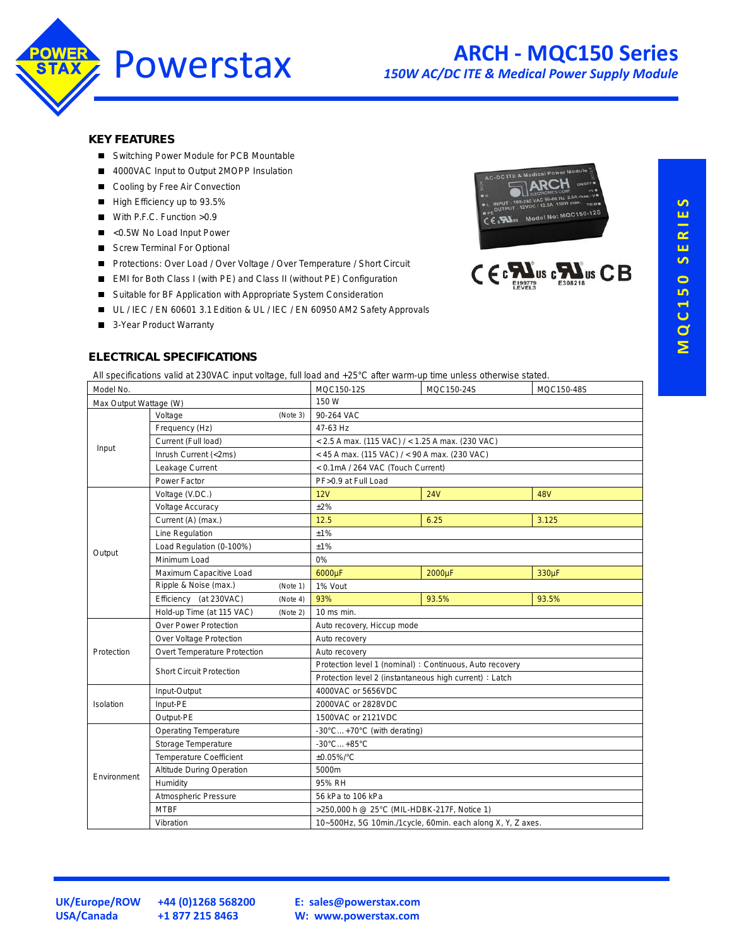

*150W AC/DC ITE & Medical Power Supply Module*

#### **KEY FEATURES**

- Switching Power Module for PCB Mountable
- 4000VAC Input to Output 2MOPP Insulation
- Cooling by Free Air Convection
- High Efficiency up to 93.5%
- With P.F.C. Function >0.9
- <0.5W No Load Input Power
- Screw Terminal For Optional
- Protections: Over Load / Over Voltage / Over Temperature / Short Circuit
- EMI for Both Class I (with PE) and Class II (without PE) Configuration
- Suitable for BF Application with Appropriate System Consideration
- UL / IEC / EN 60601 3.1 Edition & UL / IEC / EN 60950 AM2 Safety Approvals
- 3-Year Product Warranty



#### **ELECTRICAL SPECIFICATIONS**

All specifications valid at 230VAC input voltage, full load and +25°C after warm-up time unless otherwise stated.

| Model No.              |                                       | MQC150-12S | MQC150-24S                                                  | MQC150-48S |            |  |  |
|------------------------|---------------------------------------|------------|-------------------------------------------------------------|------------|------------|--|--|
| Max Output Wattage (W) |                                       |            | 150 W                                                       |            |            |  |  |
| Input                  | Voltage<br>(Note 3)                   |            | 90-264 VAC                                                  |            |            |  |  |
|                        | Frequency (Hz)                        |            | 47-63 Hz                                                    |            |            |  |  |
|                        | Current (Full load)                   |            | $<$ 2.5 A max. (115 VAC) / $<$ 1.25 A max. (230 VAC)        |            |            |  |  |
|                        | Inrush Current (<2ms)                 |            | < 45 A max. (115 VAC) / < 90 A max. (230 VAC)               |            |            |  |  |
|                        | Leakage Current                       |            | < 0.1mA / 264 VAC (Touch Current)                           |            |            |  |  |
|                        | Power Factor                          |            | PF>0.9 at Full Load                                         |            |            |  |  |
|                        | Voltage (V.DC.)                       |            | 12V                                                         | <b>24V</b> | <b>48V</b> |  |  |
|                        | <b>Voltage Accuracy</b>               |            | ±2%                                                         |            |            |  |  |
|                        | Current (A) (max.)                    |            | 12.5                                                        | 6.25       | 3.125      |  |  |
|                        | Line Regulation                       |            | ±1%                                                         |            |            |  |  |
|                        | Load Regulation (0-100%)              |            | ±1%                                                         |            |            |  |  |
| Output                 | Minimum Load                          |            | 0%                                                          |            |            |  |  |
|                        | Maximum Capacitive Load               |            | 6000µF                                                      | 2000µF     | 330µF      |  |  |
|                        | Ripple & Noise (max.)                 | (Note 1)   | 1% Vout                                                     |            |            |  |  |
|                        | Efficiency (at 230VAC)                | (Note 4)   | 93%                                                         | 93.5%      | 93.5%      |  |  |
|                        | Hold-up Time (at 115 VAC)<br>(Note 2) |            | 10 ms min.                                                  |            |            |  |  |
|                        | Over Power Protection                 |            | Auto recovery, Hiccup mode                                  |            |            |  |  |
|                        | Over Voltage Protection               |            | Auto recovery                                               |            |            |  |  |
| Protection             | Overt Temperature Protection          |            | Auto recovery                                               |            |            |  |  |
|                        | <b>Short Circuit Protection</b>       |            | Protection level 1 (nominal) : Continuous, Auto recovery    |            |            |  |  |
|                        |                                       |            | Protection level 2 (instantaneous high current) : Latch     |            |            |  |  |
|                        | Input-Output                          |            | 4000VAC or 5656VDC                                          |            |            |  |  |
| Isolation              | Input-PE                              |            | 2000VAC or 2828VDC                                          |            |            |  |  |
|                        | Output-PE                             |            | 1500VAC or 2121VDC                                          |            |            |  |  |
| Environment            | <b>Operating Temperature</b>          |            | -30°C+70°C (with derating)                                  |            |            |  |  |
|                        | Storage Temperature                   |            | $-30^{\circ}$ C $+85^{\circ}$ C                             |            |            |  |  |
|                        | <b>Temperature Coefficient</b>        |            | ±0.05%/°C                                                   |            |            |  |  |
|                        | <b>Altitude During Operation</b>      |            | 5000m                                                       |            |            |  |  |
|                        | Humidity                              |            | 95% RH                                                      |            |            |  |  |
|                        | Atmospheric Pressure                  |            | 56 kPa to 106 kPa                                           |            |            |  |  |
|                        | <b>MTBF</b>                           |            | >250,000 h @ 25°C (MIL-HDBK-217F, Notice 1)                 |            |            |  |  |
|                        | Vibration                             |            | 10~500Hz, 5G 10min./1cycle, 60min. each along X, Y, Z axes. |            |            |  |  |
|                        |                                       |            |                                                             |            |            |  |  |

**UK/Europe/ROW +44 (0)1268 568200 USA/Canada +1 877 215 8463**

**E: [sales@powerstax.com](mailto:sales%40powerstax.com?subject=MQC150) W: [www.powerstax.com](http://www.powerstax.com)**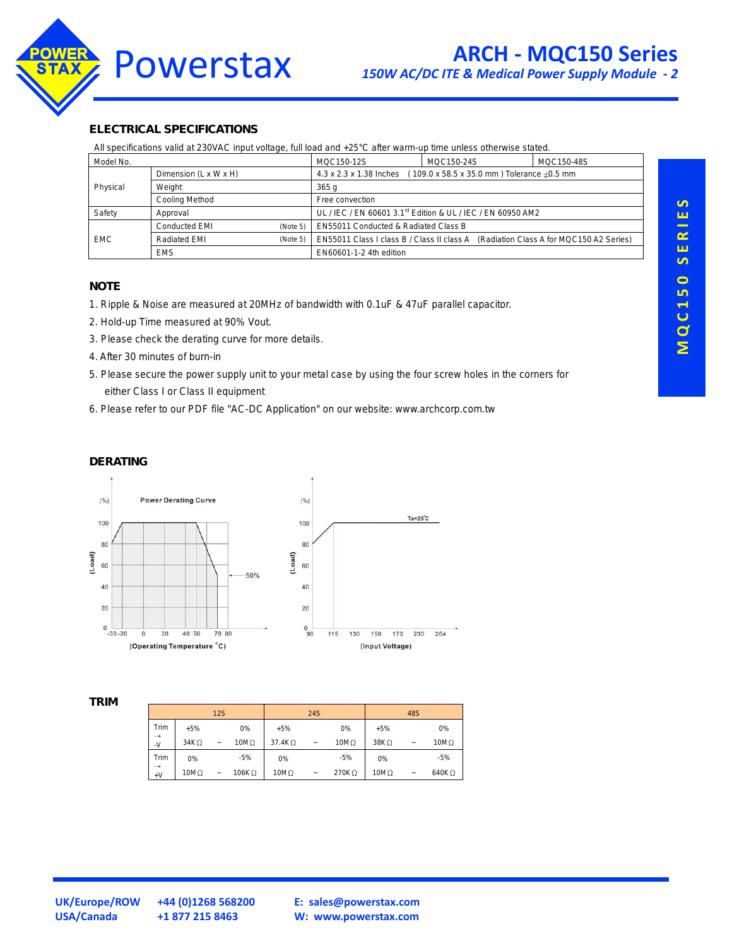

#### **ELECTRICAL SPECIFICATIONS**

All specifications valid at 230VAC input voltage, full load and +25°C after warm-up time unless otherwise stated.

| Model No.  |                       |          | MQC150-12S                                                                             | MQC150-24S | MQC150-48S |  |  |
|------------|-----------------------|----------|----------------------------------------------------------------------------------------|------------|------------|--|--|
|            | Dimension (L x W x H) |          | 4.3 x 2.3 x 1.38 Inches<br>109.0 x 58.5 x 35.0 mm ) Tolerance $\pm 0.5$ mm             |            |            |  |  |
| Physical   | Weight                |          | 365q                                                                                   |            |            |  |  |
|            | Cooling Method        |          | Free convection                                                                        |            |            |  |  |
| Safety     | Approval              |          | UL / IEC / EN 60601 3.1 <sup>rd</sup> Edition & UL / IEC / EN 60950 AM2                |            |            |  |  |
| <b>EMC</b> | <b>Conducted EMI</b>  | (Note 5) | EN55011 Conducted & Radiated Class B                                                   |            |            |  |  |
|            | Radiated EMI          | (Note 5) | EN55011 Class I class B / Class II class A<br>(Radiation Class A for MQC150 A2 Series) |            |            |  |  |
|            | <b>EMS</b>            |          | EN60601-1-2 4th edition                                                                |            |            |  |  |

#### **NOTE**

- 1. Ripple & Noise are measured at 20MHz of bandwidth with 0.1uF & 47uF parallel capacitor.
- 2. Hold-up Time measured at 90% Vout.
- 3. Please check the derating curve for more details.
- 4. After 30 minutes of burn-in
- 5. Please secure the power supply unit to your metal case by using the four screw holes in the corners for either Class I or Class II equipment
- 6. Please refer to our PDF file "AC-DC Application" on our website: www.archcorp.com.tw

## **DERATING**



#### **TRIM**

|                       |             | 12S        |               |               | 24S                       |              |              | 48S                   |               |
|-----------------------|-------------|------------|---------------|---------------|---------------------------|--------------|--------------|-----------------------|---------------|
| Trim                  | $+5%$       |            | 0%            | $+5%$         |                           | 0%           | $+5%$        |                       | 0%            |
| $\rightarrow$<br>$-V$ | $34K\Omega$ | $\tilde{}$ | $10M\Omega$   | $37.4K\Omega$ | $\tilde{}$                | 10 $M\Omega$ | $38K\Omega$  | $\tilde{\phantom{a}}$ | $10M\Omega$   |
| Trim                  | 0%          |            | $-5%$         | 0%            |                           | $-5%$        | 0%           |                       | $-5%$         |
| $\rightarrow$<br>$+V$ | $10M\Omega$ | $\tilde{}$ | 106K $\Omega$ | $10M\Omega$   | $\widetilde{\phantom{m}}$ | 270K Q       | 10 $M\Omega$ | $\tilde{}$            | 640K $\Omega$ |

**UK/Europe/ROW +44 (0)1268 568200 USA/Canada +1 877 215 8463**

**E: [sales@powerstax.com](mailto:sales%40powerstax.com?subject=MQC150) W: [www.powerstax.com](http://www.powerstax.com)**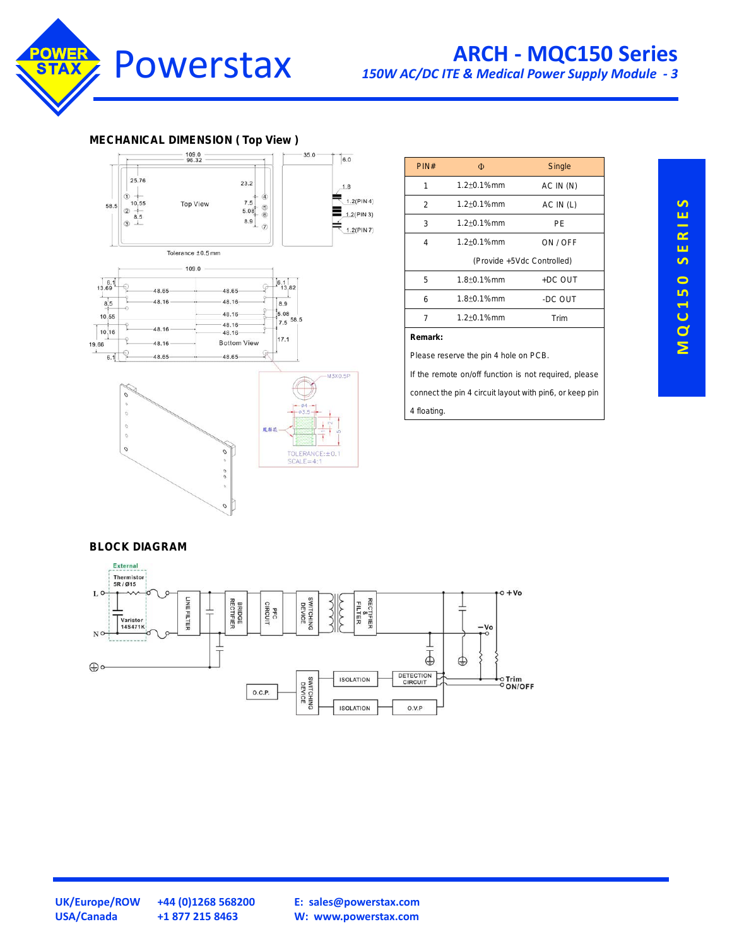

## **ARCH - MQC150 Series**

*150W AC/DC ITE & Medical Power Supply Module - 3*

#### **MECHANICAL DIMENSION ( Top View )**



| PIN#                                                    | Φ                  | Single    |  |  |  |
|---------------------------------------------------------|--------------------|-----------|--|--|--|
| 1                                                       | $1.2 + 0.1%$ mm    | AC IN (N) |  |  |  |
| 2                                                       | $1.2 \pm 0.1$ %mm  | AC IN (L) |  |  |  |
| 3                                                       | $1.2 + 0.1%$ mm    | РF        |  |  |  |
| 4                                                       | $1.2 \pm 0.1\%$ mm | ON / OFF  |  |  |  |
| (Provide +5Vdc Controlled)                              |                    |           |  |  |  |
| 5                                                       | $1.8 + 0.1%$ mm    | +DC OUT   |  |  |  |
| 6                                                       | $1.8 \pm 0.1$ %mm  | -DC OUT   |  |  |  |
| $\overline{7}$                                          | $1.2 + 0.1%$ mm    | Trim      |  |  |  |
| Remark:                                                 |                    |           |  |  |  |
| Please reserve the pin 4 hole on PCB.                   |                    |           |  |  |  |
| If the remote on/off function is not required, please   |                    |           |  |  |  |
| connect the pin 4 circuit layout with pin6, or keep pin |                    |           |  |  |  |
| 4 floating.                                             |                    |           |  |  |  |

#### **BLOCK DIAGRAM**



SERIES **M Q C 1 5 0 S E R I E S MQC150** 

**USA/Canada +1 877 215 8463**

**UK/Europe/ROW +44 (0)1268 568200**

**E: [sales@powerstax.com](mailto:sales%40powerstax.com?subject=MQC150) W: [www.powerstax.com](http://www.powerstax.com)**